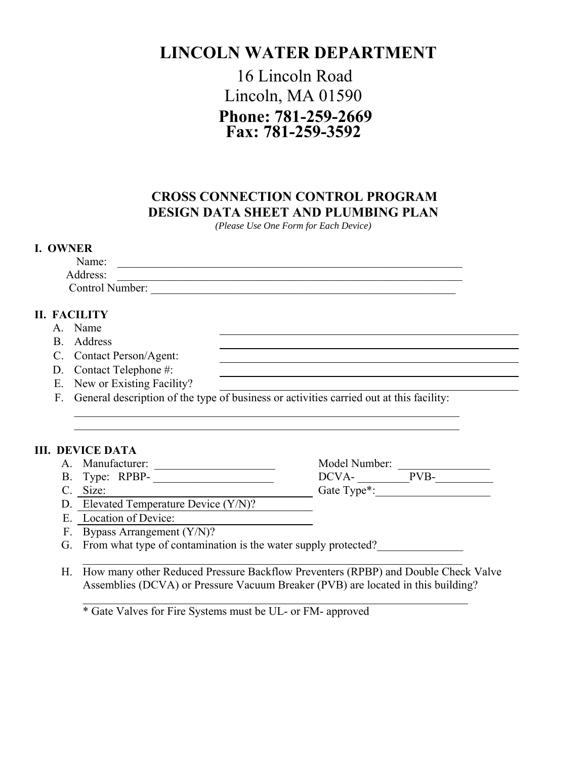# **LINCOLN WATER DEPARTMENT**

## 16 Lincoln Road Lincoln, MA 01590 **Phone: 781-259-2669 Fax: 781-259-3592**

### **CROSS CONNECTION CONTROL PROGRAM DESIGN DATA SHEET AND PLUMBING PLAN**

*(Please Use One Form for Each Device)*

#### **I. OWNER**

| Name:           |  |  |  |
|-----------------|--|--|--|
| Address:        |  |  |  |
| Control Number: |  |  |  |

#### **II. FACILITY**

- A. Name
- B. Address
- C. Contact Person/Agent:
- D. Contact Telephone #:
- E. New or Existing Facility?
- F. General description of the type of business or activities carried out at this facility:

 $\mathcal{L}_\mathcal{L}$  , and the contribution of the contribution of the contribution of the contribution of the contribution of the contribution of the contribution of the contribution of the contribution of the contribution of  $\mathcal{L}_\mathcal{L}$  , and the contribution of the contribution of the contribution of the contribution of the contribution of the contribution of the contribution of the contribution of the contribution of the contribution of

### **III. DEVICE DATA**

- 
- 
- C. Size: Gate Type<sup>\*</sup>:
- A. Manufacturer: \_\_\_\_\_\_\_\_\_\_\_\_\_\_\_\_\_\_\_\_\_ Model Number: \_\_\_\_\_\_\_\_\_\_\_\_\_\_\_\_ B. Type: RPBP- \_\_\_\_\_\_\_\_\_\_\_\_\_\_\_\_\_\_\_\_\_ DCVA- \_\_\_\_\_\_\_\_\_PVB-\_\_\_\_\_\_\_\_\_\_

- D. Elevated Temperature Device (Y/N)?
- E. Location of Device:
- F. Bypass Arrangement (Y/N)?
- G. From what type of contamination is the water supply protected?
- \_\_\_\_\_\_\_\_\_\_\_\_\_\_\_\_\_\_\_\_\_\_\_\_\_\_\_\_\_\_\_\_\_\_\_\_\_\_\_\_\_\_\_\_\_\_\_\_\_\_\_\_\_\_\_\_\_\_\_\_\_\_\_\_\_\_ H. How many other Reduced Pressure Backflow Preventers (RPBP) and Double Check Valve Assemblies (DCVA) or Pressure Vacuum Breaker (PVB) are located in this building?

 $\mathcal{L}_\mathcal{L}$  , and the contribution of the contribution of the contribution of the contribution of the contribution of the contribution of the contribution of the contribution of the contribution of the contribution of

\* Gate Valves for Fire Systems must be UL- or FM- approved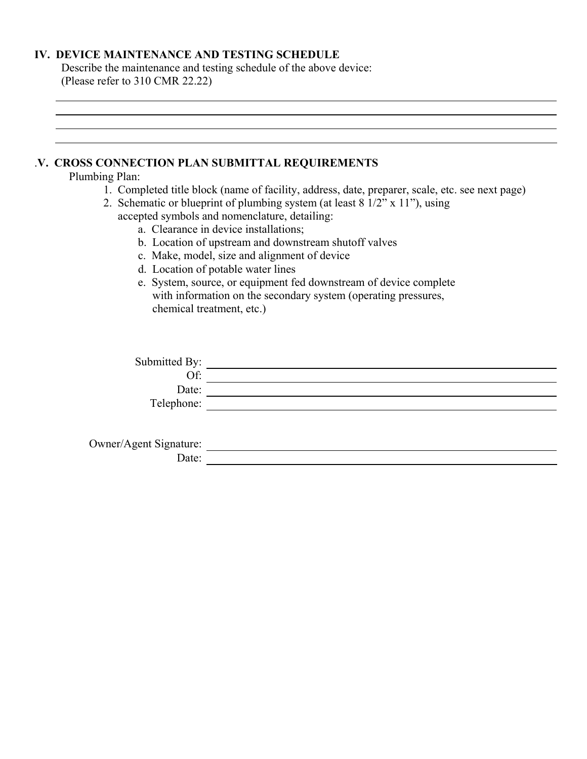#### **IV. DEVICE MAINTENANCE AND TESTING SCHEDULE**

Describe the maintenance and testing schedule of the above device: (Please refer to 310 CMR 22.22)

### .**V. CROSS CONNECTION PLAN SUBMITTAL REQUIREMENTS**  Plumbing Plan: 1. Completed title block (name of facility, address, date, preparer, scale, etc. see next page) 2. Schematic or blueprint of plumbing system (at least 8 1/2" x 11"), using accepted symbols and nomenclature, detailing: a. Clearance in device installations; b. Location of upstream and downstream shutoff valves c. Make, model, size and alignment of device d. Location of potable water lines e. System, source, or equipment fed downstream of device complete with information on the secondary system (operating pressures, chemical treatment, etc.) Submitted By: Of:  $\overline{\qquad \qquad }$ Date: University of the Contract of the Contract of the Contract of the Contract of the Contract of the Contract of the Contract of the Contract of the Contract of the Contract of the Contract of the Contract of the Contra Telephone: Owner/Agent Signature: Date: